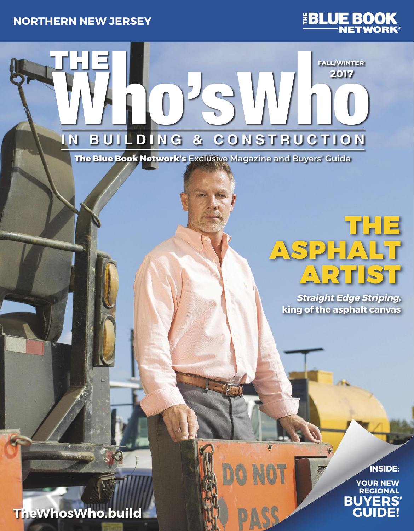



**FALL**/**WINTER 2017**

**IN BUILDING & CONSTRUCTION**

The Blue Book Network's Exclusive Magazine and Buyers' Guide

# THE ASPHALT ARTIST

**Straight Edge Striping, king of the asphalt canvas**

 $\overline{(\bullet)}$ 

**INSIDE:** 

**YOUR NEW REGIONAL GUIDE! BUYERS'**

**TheWhosWho.build**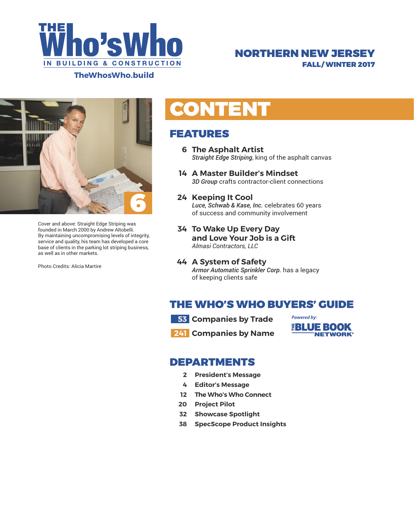

## NORTHERN NEW JERSEY FALL/ WINTER 2017



Cover and above: Straight Edge Striping was founded in March 2000 by Andrew Altobelli. By maintaining uncompromising levels of integrity, service and quality, his team has developed a core base of clients in the parking lot striping business, as well as in other markets.

Photo Credits: Alicia Martire

# **CONTENT**

## FEATURES

- **6 The Asphalt Artist**  *Straight Edge Striping*, king of the asphalt canvas
- **14 A Master Builder's Mindset** *3D Group* crafts contractor-client connections

### **24 Keeping It Cool**

 *Luce, Schwab & Kase, Inc.* celebrates 60 years of success and community involvement

- **34 To Wake Up Every Day and Love Your Job is a Gift** *Almasi Contractors, LLC*
- **44 A System of Safety** *Armor Automatic Sprinkler Corp.* has a legacy of keeping clients safe

## THE WHO'S WHO BUYERS' GUIDE

 **53 Companies by Trade**

**241 Companies by Name** 



### DEPARTMENTS

- **2 President's Message**
- **4 Editor's Message**
- **12 The Who's Who Connect**
- **20 Project Pilot**
- **32 Showcase Spotlight**
- **38 SpecScope Product Insights**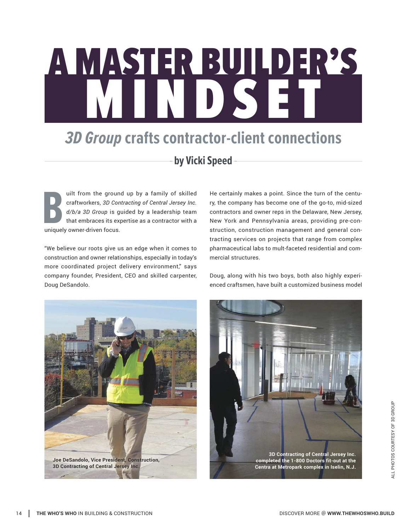# A MASTER BUILDER'S MINDSET

# *3D Group* **crafts contractor-client connections**

## **by Vicki Speed**

uilt from the ground up by a family of skilled craftworkers, *3D Contracting of Central Jersey Inc. d/b/a 3D Group* is guided by a leadership team that embraces its expertise as a contractor with a uilt from the ground<br>
eraftworkers, 3D Con<br>
d/b/a 3D Group is gut<br>
that embraces its exp<br>
uniquely owner-driven focus.

"We believe our roots give us an edge when it comes to construction and owner relationships, especially in today's more coordinated project delivery environment," says company founder, President, CEO and skilled carpenter, Doug DeSandolo.

He certainly makes a point. Since the turn of the century, the company has become one of the go-to, mid-sized contractors and owner reps in the Delaware, New Jersey, New York and Pennsylvania areas, providing pre-construction, construction management and general contracting services on projects that range from complex pharmaceutical labs to mult-faceted residential and commercial structures.

Doug, along with his two boys, both also highly experienced craftsmen, have built a customized business model



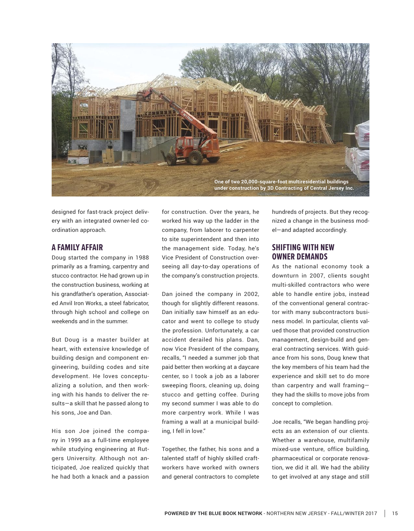

designed for fast-track project delivery with an integrated owner-led coordination approach.

#### **A FAMILY AFFAIR**

Doug started the company in 1988 primarily as a framing, carpentry and stucco contractor. He had grown up in the construction business, working at his grandfather's operation, Associated Anvil Iron Works, a steel fabricator, through high school and college on weekends and in the summer.

But Doug is a master builder at heart, with extensive knowledge of building design and component engineering, building codes and site development. He loves conceptualizing a solution, and then working with his hands to deliver the results—a skill that he passed along to his sons, Joe and Dan.

His son Joe joined the company in 1999 as a full-time employee while studying engineering at Rutgers University. Although not anticipated, Joe realized quickly that he had both a knack and a passion

for construction. Over the years, he worked his way up the ladder in the company, from laborer to carpenter to site superintendent and then into the management side. Today, he's Vice President of Construction overseeing all day-to-day operations of the company's construction projects.

Dan joined the company in 2002, though for slightly different reasons. Dan initially saw himself as an educator and went to college to study the profession. Unfortunately, a car accident derailed his plans. Dan, now Vice President of the company, recalls, "I needed a summer job that paid better then working at a daycare center, so I took a job as a laborer sweeping floors, cleaning up, doing stucco and getting coffee. During my second summer I was able to do more carpentry work. While I was framing a wall at a municipal building, I fell in love."

Together, the father, his sons and a talented staff of highly skilled craftworkers have worked with owners and general contractors to complete hundreds of projects. But they recognized a change in the business model—and adapted accordingly.

### **SHIFTING WITH NEW OWNER DEMANDS**

As the national economy took a downturn in 2007, clients sought multi-skilled contractors who were able to handle entire jobs, instead of the conventional general contractor with many subcontractors business model. In particular, clients valued those that provided construction management, design-build and general contracting services. With guidance from his sons, Doug knew that the key members of his team had the experience and skill set to do more than carpentry and wall framing they had the skills to move jobs from concept to completion.

Joe recalls, "We began handling projects as an extension of our clients. Whether a warehouse, multifamily mixed-use venture, office building, pharmaceutical or corporate renovation, we did it all. We had the ability to get involved at any stage and still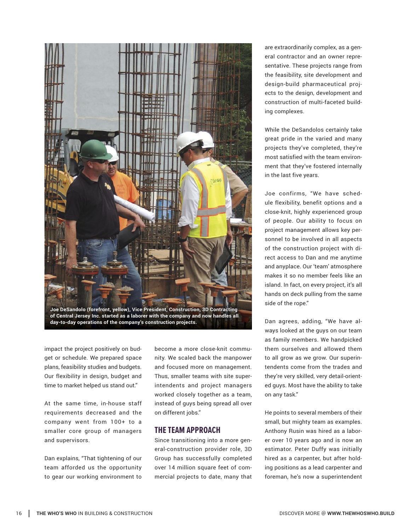

**of Central Jersey Inc. started as a laborer with the company and now handles all day-to-day operations of the company's construction projects.**

impact the project positively on budget or schedule. We prepared space plans, feasibility studies and budgets. Our flexibility in design, budget and time to market helped us stand out."

At the same time, in-house staff requirements decreased and the company went from 100+ to a smaller core group of managers and supervisors.

Dan explains, "That tightening of our team afforded us the opportunity to gear our working environment to

become a more close-knit community. We scaled back the manpower and focused more on management. Thus, smaller teams with site superintendents and project managers worked closely together as a team, instead of guys being spread all over on different jobs."

### **THE TEAM APPROACH**

Since transitioning into a more general-construction provider role, 3D Group has successfully completed over 14 million square feet of commercial projects to date, many that are extraordinarily complex, as a general contractor and an owner representative. These projects range from the feasibility, site development and design-build pharmaceutical projects to the design, development and construction of multi-faceted building complexes.

While the DeSandolos certainly take great pride in the varied and many projects they've completed, they're most satisfied with the team environment that they've fostered internally in the last five years.

Joe confirms, "We have schedule flexibility, benefit options and a close-knit, highly experienced group of people. Our ability to focus on project management allows key personnel to be involved in all aspects of the construction project with direct access to Dan and me anytime and anyplace. Our 'team' atmosphere makes it so no member feels like an island. In fact, on every project, it's all hands on deck pulling from the same side of the rope."

Dan agrees, adding, "We have always looked at the guys on our team as family members. We handpicked them ourselves and allowed them to all grow as we grow. Our superintendents come from the trades and they're very skilled, very detail-oriented guys. Most have the ability to take on any task."

He points to several members of their small, but mighty team as examples. Anthony Rusin was hired as a laborer over 10 years ago and is now an estimator. Peter Duffy was initially hired as a carpenter, but after holding positions as a lead carpenter and foreman, he's now a superintendent